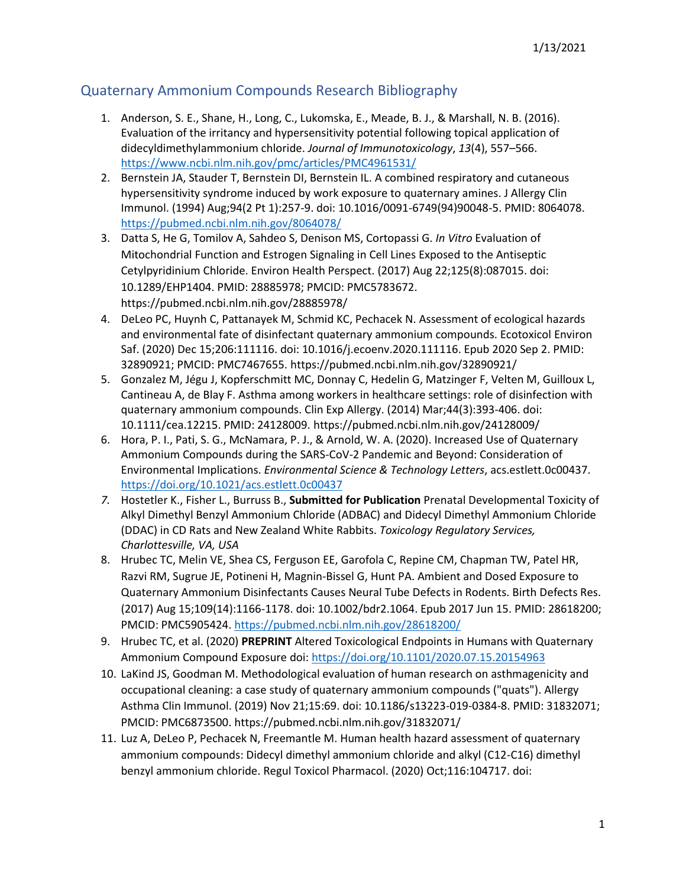## Quaternary Ammonium Compounds Research Bibliography

- 1. Anderson, S. E., Shane, H., Long, C., Lukomska, E., Meade, B. J., & Marshall, N. B. (2016). Evaluation of the irritancy and hypersensitivity potential following topical application of didecyldimethylammonium chloride. *Journal of Immunotoxicology*, *13*(4), 557–566. <https://www.ncbi.nlm.nih.gov/pmc/articles/PMC4961531/>
- 2. Bernstein JA, Stauder T, Bernstein DI, Bernstein IL. A combined respiratory and cutaneous hypersensitivity syndrome induced by work exposure to quaternary amines. J Allergy Clin Immunol. (1994) Aug;94(2 Pt 1):257-9. doi: 10.1016/0091-6749(94)90048-5. PMID: 8064078. <https://pubmed.ncbi.nlm.nih.gov/8064078/>
- 3. Datta S, He G, Tomilov A, Sahdeo S, Denison MS, Cortopassi G. *In Vitro* Evaluation of Mitochondrial Function and Estrogen Signaling in Cell Lines Exposed to the Antiseptic Cetylpyridinium Chloride. Environ Health Perspect. (2017) Aug 22;125(8):087015. doi: 10.1289/EHP1404. PMID: 28885978; PMCID: PMC5783672. https://pubmed.ncbi.nlm.nih.gov/28885978/
- 4. DeLeo PC, Huynh C, Pattanayek M, Schmid KC, Pechacek N. Assessment of ecological hazards and environmental fate of disinfectant quaternary ammonium compounds. Ecotoxicol Environ Saf. (2020) Dec 15;206:111116. doi: 10.1016/j.ecoenv.2020.111116. Epub 2020 Sep 2. PMID: 32890921; PMCID: PMC7467655. https://pubmed.ncbi.nlm.nih.gov/32890921/
- 5. Gonzalez M, Jégu J, Kopferschmitt MC, Donnay C, Hedelin G, Matzinger F, Velten M, Guilloux L, Cantineau A, de Blay F. Asthma among workers in healthcare settings: role of disinfection with quaternary ammonium compounds. Clin Exp Allergy. (2014) Mar;44(3):393-406. doi: 10.1111/cea.12215. PMID: 24128009. https://pubmed.ncbi.nlm.nih.gov/24128009/
- 6. Hora, P. I., Pati, S. G., McNamara, P. J., & Arnold, W. A. (2020). Increased Use of Quaternary Ammonium Compounds during the SARS-CoV-2 Pandemic and Beyond: Consideration of Environmental Implications. *Environmental Science & Technology Letters*, acs.estlett.0c00437. <https://doi.org/10.1021/acs.estlett.0c00437>
- *7.* Hostetler K., Fisher L., Burruss B., **Submitted for Publication** Prenatal Developmental Toxicity of Alkyl Dimethyl Benzyl Ammonium Chloride (ADBAC) and Didecyl Dimethyl Ammonium Chloride (DDAC) in CD Rats and New Zealand White Rabbits. *Toxicology Regulatory Services, Charlottesville, VA, USA*
- 8. Hrubec TC, Melin VE, Shea CS, Ferguson EE, Garofola C, Repine CM, Chapman TW, Patel HR, Razvi RM, Sugrue JE, Potineni H, Magnin-Bissel G, Hunt PA. Ambient and Dosed Exposure to Quaternary Ammonium Disinfectants Causes Neural Tube Defects in Rodents. Birth Defects Res. (2017) Aug 15;109(14):1166-1178. doi: 10.1002/bdr2.1064. Epub 2017 Jun 15. PMID: 28618200; PMCID: PMC5905424. <https://pubmed.ncbi.nlm.nih.gov/28618200/>
- 9. Hrubec TC, et al. (2020) **PREPRINT** Altered Toxicological Endpoints in Humans with Quaternary Ammonium Compound Exposure doi: <https://doi.org/10.1101/2020.07.15.20154963>
- 10. LaKind JS, Goodman M. Methodological evaluation of human research on asthmagenicity and occupational cleaning: a case study of quaternary ammonium compounds ("quats"). Allergy Asthma Clin Immunol. (2019) Nov 21;15:69. doi: 10.1186/s13223-019-0384-8. PMID: 31832071; PMCID: PMC6873500. https://pubmed.ncbi.nlm.nih.gov/31832071/
- 11. Luz A, DeLeo P, Pechacek N, Freemantle M. Human health hazard assessment of quaternary ammonium compounds: Didecyl dimethyl ammonium chloride and alkyl (C12-C16) dimethyl benzyl ammonium chloride. Regul Toxicol Pharmacol. (2020) Oct;116:104717. doi: